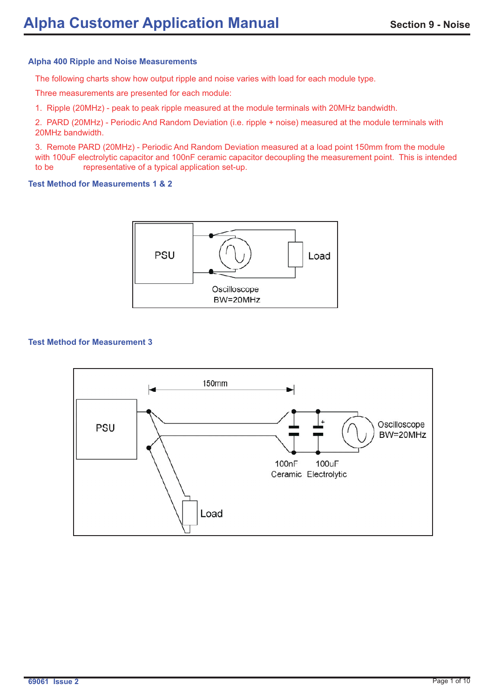#### **Alpha 400 Ripple and Noise Measurements**

The following charts show how output ripple and noise varies with load for each module type.

Three measurements are presented for each module:

1. Ripple (20MHz) - peak to peak ripple measured at the module terminals with 20MHz bandwidth.

2. PARD (20MHz) - Periodic And Random Deviation (i.e. ripple + noise) measured at the module terminals with 20MHz bandwidth.

3. Remote PARD (20MHz) - Periodic And Random Deviation measured at a load point 150mm from the module with 100uF electrolytic capacitor and 100nF ceramic capacitor decoupling the measurement point. This is intended to be representative of a typical application set-up.

#### **Test Method for Measurements 1 & 2**



#### **Test Method for Measurement 3**

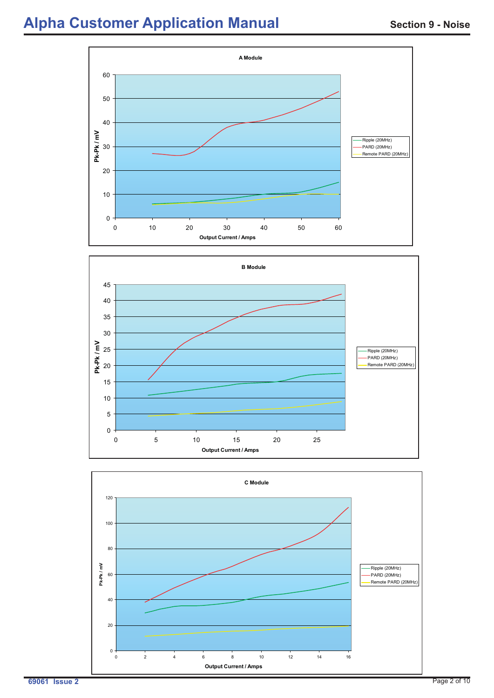





**69061 Issue 2**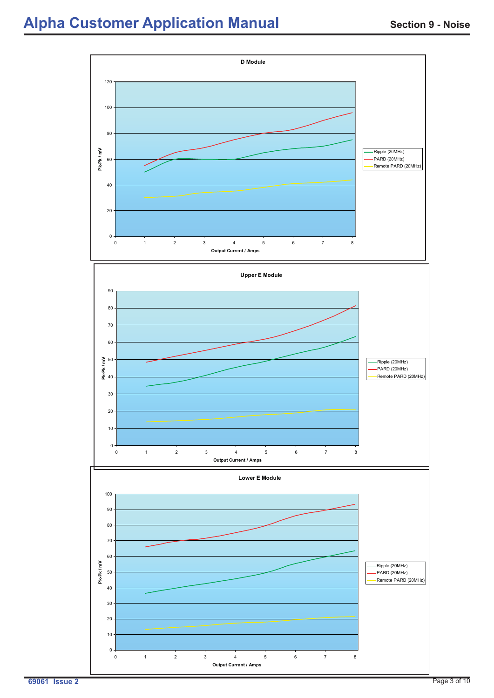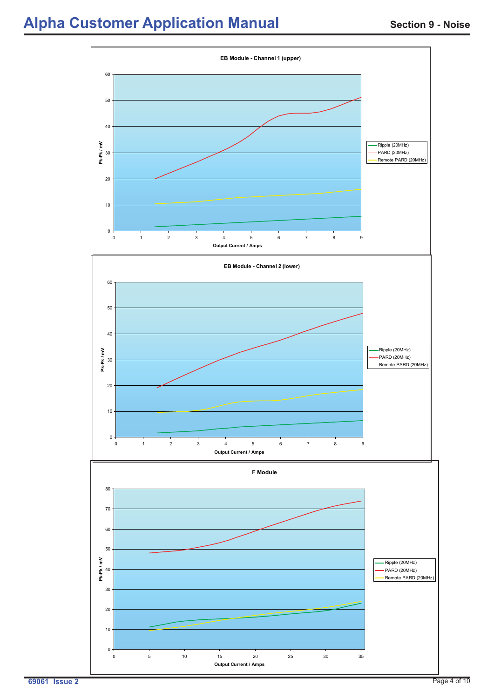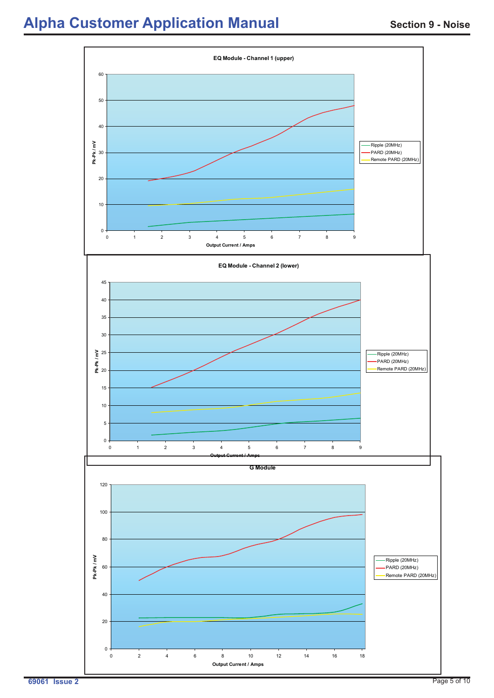

**69061 Issue 2**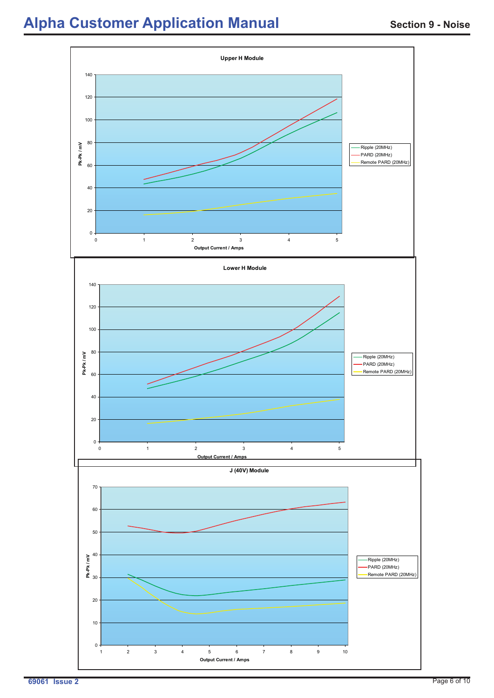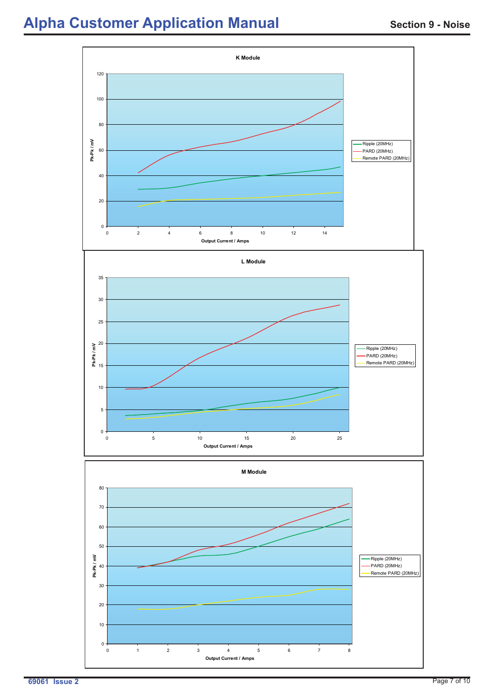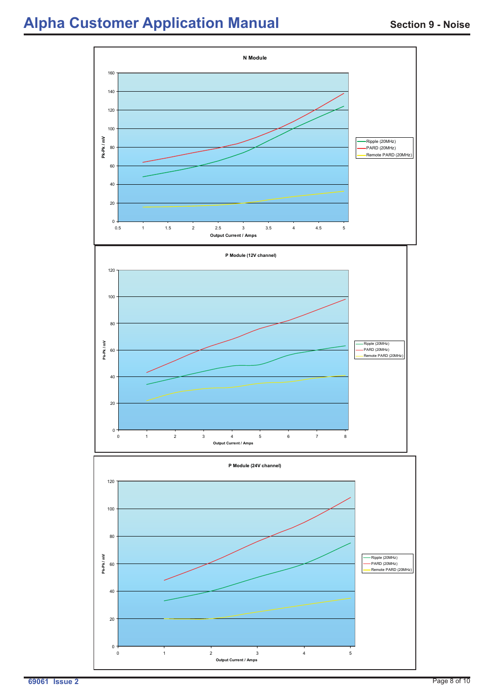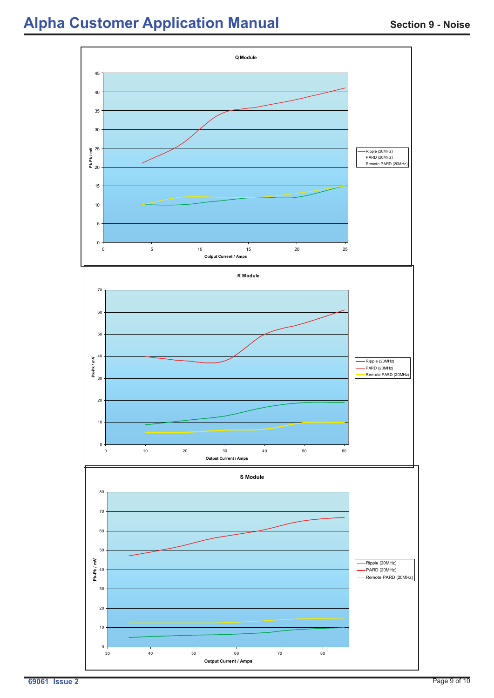